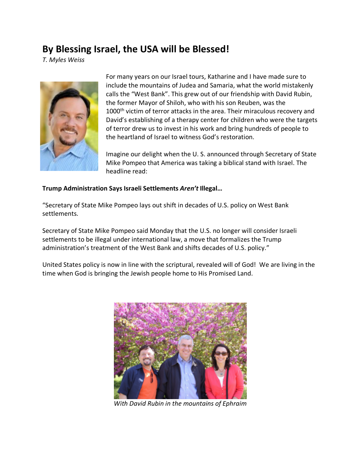# **By Blessing Israel, the USA will be Blessed!**

*T. Myles Weiss*



For many years on our Israel tours, Katharine and I have made sure to include the mountains of Judea and Samaria, what the world mistakenly calls the "West Bank". This grew out of our friendship with David Rubin, the former Mayor of Shiloh, who with his son Reuben, was the 1000<sup>th</sup> victim of terror attacks in the area. Their miraculous recovery and David's establishing of a therapy center for children who were the targets of terror drew us to invest in his work and bring hundreds of people to the heartland of Israel to witness God's restoration.

Imagine our delight when the U. S. announced through Secretary of State Mike Pompeo that America was taking a biblical stand with Israel. The headline read:

### **Trump Administration Says Israeli Settlements** *Aren't* **Illegal…**

"Secretary of State Mike Pompeo lays out shift in decades of U.S. policy on West Bank settlements.

Secretary of State Mike Pompeo said Monday that the U.S. no longer will consider Israeli settlements to be illegal under international law, a move that formalizes the Trump administration's treatment of the West Bank and shifts decades of U.S. policy."

United States policy is now in line with the scriptural, revealed will of God! We are living in the time when God is bringing the Jewish people home to His Promised Land.



*With David Rubin in the mountains of Ephraim*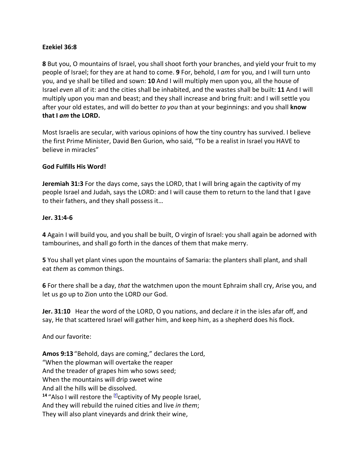## **Ezekiel 36:8**

**8** But you, O mountains of Israel, you shall shoot forth your branches, and yield your fruit to my people of Israel; for they are at hand to come. **9** For, behold, I *am* for you, and I will turn unto you, and ye shall be tilled and sown: **10** And I will multiply men upon you, all the house of Israel *even* all of it: and the cities shall be inhabited, and the wastes shall be built: **11** And I will multiply upon you man and beast; and they shall increase and bring fruit: and I will settle you after your old estates, and will do better *to you* than at your beginnings: and you shall **know that I** *am* **the LORD.**

Most Israelis are secular, with various opinions of how the tiny country has survived. I believe the first Prime Minister, David Ben Gurion, who said, "To be a realist in Israel you HAVE to believe in miracles"

## **God Fulfills His Word!**

**Jeremiah 31:3** For the days come, says the LORD, that I will bring again the captivity of my people Israel and Judah, says the LORD: and I will cause them to return to the land that I gave to their fathers, and they shall possess it…

## **Jer. 31:4-6**

**4** Again I will build you, and you shall be built, O virgin of Israel: you shall again be adorned with tambourines, and shall go forth in the dances of them that make merry.

**5** You shall yet plant vines upon the mountains of Samaria: the planters shall plant, and shall eat *them* as common things.

**6** For there shall be a day, *that* the watchmen upon the mount Ephraim shall cry, Arise you, and let us go up to Zion unto the LORD our God.

**Jer. 31:10** Hear the word of the LORD, O you nations, and declare *it* in the isles afar off, and say, He that scattered Israel will gather him, and keep him, as a shepherd does his flock.

And our favorite:

**Amos 9:13** "Behold, days are coming," declares the Lord, "When the plowman will overtake the reaper And the treader of grapes him who sows seed; When the mountains will drip sweet wine And all the hills will be dissolved. <sup>14</sup> "Also I will restore the <sup>[f]</sup>captivity of My people Israel, And they will rebuild the ruined cities and live *in them*; They will also plant vineyards and drink their wine,